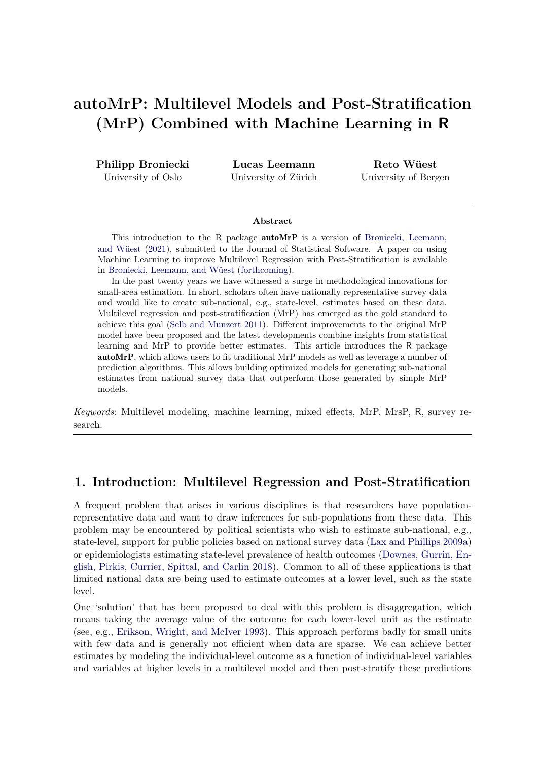# **autoMrP: Multilevel Models and Post-Stratification (MrP) Combined with Machine Learning in R**

**Philipp Broniecki** University of Oslo

**Lucas Leemann** University of Zürich

**Reto Wüest** University of Bergen

#### **Abstract**

This introduction to the R package **autoMrP** is a version of [Broniecki, Leemann,](#page-18-0) [and Wüest](#page-18-0) [\(2021\)](#page-18-0), submitted to the Journal of Statistical Software. A paper on using Machine Learning to improve Multilevel Regression with Post-Stratification is available in [Broniecki, Leemann, and Wüest](#page-18-1) [\(forthcoming\)](#page-18-1).

In the past twenty years we have witnessed a surge in methodological innovations for small-area estimation. In short, scholars often have nationally representative survey data and would like to create sub-national, e.g., state-level, estimates based on these data. Multilevel regression and post-stratification (MrP) has emerged as the gold standard to achieve this goal [\(Selb and Munzert 2011\)](#page-20-0). Different improvements to the original MrP model have been proposed and the latest developments combine insights from statistical learning and MrP to provide better estimates. This article introduces the R package autoMrP, which allows users to fit traditional MrP models as well as leverage a number of prediction algorithms. This allows building optimized models for generating sub-national estimates from national survey data that outperform those generated by simple MrP models.

*Keywords*: Multilevel modeling, machine learning, mixed effects, MrP, MrsP, R, survey research.

## **1. Introduction: Multilevel Regression and Post-Stratification**

A frequent problem that arises in various disciplines is that researchers have populationrepresentative data and want to draw inferences for sub-populations from these data. This problem may be encountered by political scientists who wish to estimate sub-national, e.g., state-level, support for public policies based on national survey data [\(Lax and Phillips 2009a\)](#page-19-0) or epidemiologists estimating state-level prevalence of health outcomes [\(Downes, Gurrin, En](#page-18-2)[glish, Pirkis, Currier, Spittal, and Carlin 2018\)](#page-18-2). Common to all of these applications is that limited national data are being used to estimate outcomes at a lower level, such as the state level.

One 'solution' that has been proposed to deal with this problem is disaggregation, which means taking the average value of the outcome for each lower-level unit as the estimate (see, e.g., [Erikson, Wright, and McIver 1993\)](#page-18-3). This approach performs badly for small units with few data and is generally not efficient when data are sparse. We can achieve better estimates by modeling the individual-level outcome as a function of individual-level variables and variables at higher levels in a multilevel model and then post-stratify these predictions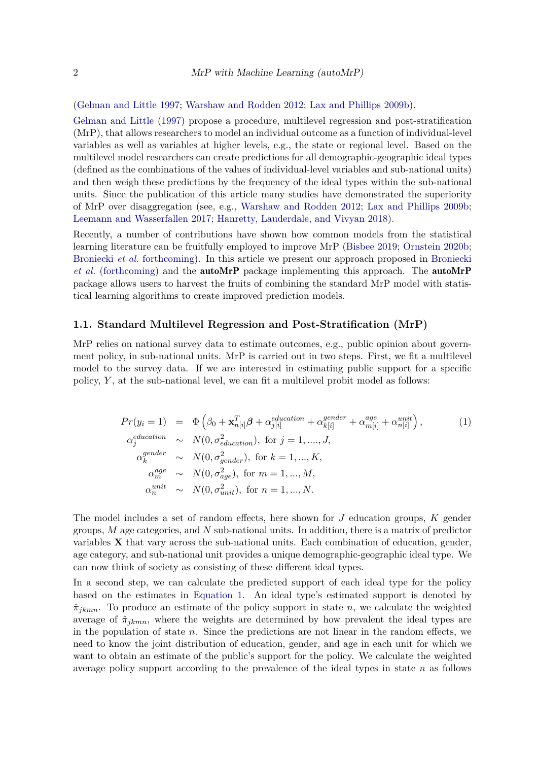[\(Gelman and Little 1997;](#page-18-4) [Warshaw and Rodden 2012;](#page-20-1) [Lax and Phillips 2009b\)](#page-19-1).

[Gelman and Little](#page-18-4) [\(1997\)](#page-18-4) propose a procedure, multilevel regression and post-stratification (MrP), that allows researchers to model an individual outcome as a function of individual-level variables as well as variables at higher levels, e.g., the state or regional level. Based on the multilevel model researchers can create predictions for all demographic-geographic ideal types (defined as the combinations of the values of individual-level variables and sub-national units) and then weigh these predictions by the frequency of the ideal types within the sub-national units. Since the publication of this article many studies have demonstrated the superiority of MrP over disaggregation (see, e.g., [Warshaw and Rodden 2012;](#page-20-1) [Lax and Phillips 2009b;](#page-19-1) [Leemann and Wasserfallen 2017;](#page-19-2) [Hanretty, Lauderdale, and Vivyan 2018\)](#page-19-3).

Recently, a number of contributions have shown how common models from the statistical learning literature can be fruitfully employed to improve MrP [\(Bisbee 2019;](#page-18-5) [Ornstein 2020b;](#page-20-2) [Broniecki](#page-18-1) *et al.* [forthcoming\)](#page-18-1). In this article we present our approach proposed in [Broniecki](#page-18-1) *[et al.](#page-18-1)* [\(forthcoming\)](#page-18-1) and the autoMrP package implementing this approach. The autoMrP package allows users to harvest the fruits of combining the standard MrP model with statistical learning algorithms to create improved prediction models.

#### **1.1. Standard Multilevel Regression and Post-Stratification (MrP)**

MrP relies on national survey data to estimate outcomes, e.g., public opinion about government policy, in sub-national units. MrP is carried out in two steps. First, we fit a multilevel model to the survey data. If we are interested in estimating public support for a specific policy, *Y* , at the sub-national level, we can fit a multilevel probit model as follows:

<span id="page-1-0"></span>
$$
Pr(y_i = 1) = \Phi\left(\beta_0 + \mathbf{x}_{n[i]}^T \boldsymbol{\beta} + \alpha_{j[i]}^{cluction} + \alpha_{k[i]}^{gender} + \alpha_{m[i]}^{age} + \alpha_{n[i]}^{unit}\right),
$$
  
\n
$$
\alpha_j^{eduction} \sim N(0, \sigma_{eduction}^2), \text{ for } j = 1, ..., J,
$$
  
\n
$$
\alpha_k^{gender} \sim N(0, \sigma_{gender}^2), \text{ for } k = 1, ..., K,
$$
  
\n
$$
\alpha_m^{age} \sim N(0, \sigma_{age}^2), \text{ for } m = 1, ..., M,
$$
  
\n
$$
\alpha_n^{unit} \sim N(0, \sigma_{unit}^2), \text{ for } n = 1, ..., N.
$$
 (1)

The model includes a set of random effects, here shown for *J* education groups, *K* gender groups, *M* age categories, and *N* sub-national units. In addition, there is a matrix of predictor variables **X** that vary across the sub-national units. Each combination of education, gender, age category, and sub-national unit provides a unique demographic-geographic ideal type. We can now think of society as consisting of these different ideal types.

In a second step, we can calculate the predicted support of each ideal type for the policy based on the estimates in [Equation 1.](#page-1-0) An ideal type's estimated support is denoted by  $\hat{\pi}_{jkmn}$ . To produce an estimate of the policy support in state *n*, we calculate the weighted average of  $\hat{\pi}_{ikmn}$ , where the weights are determined by how prevalent the ideal types are in the population of state *n*. Since the predictions are not linear in the random effects, we need to know the joint distribution of education, gender, and age in each unit for which we want to obtain an estimate of the public's support for the policy. We calculate the weighted average policy support according to the prevalence of the ideal types in state *n* as follows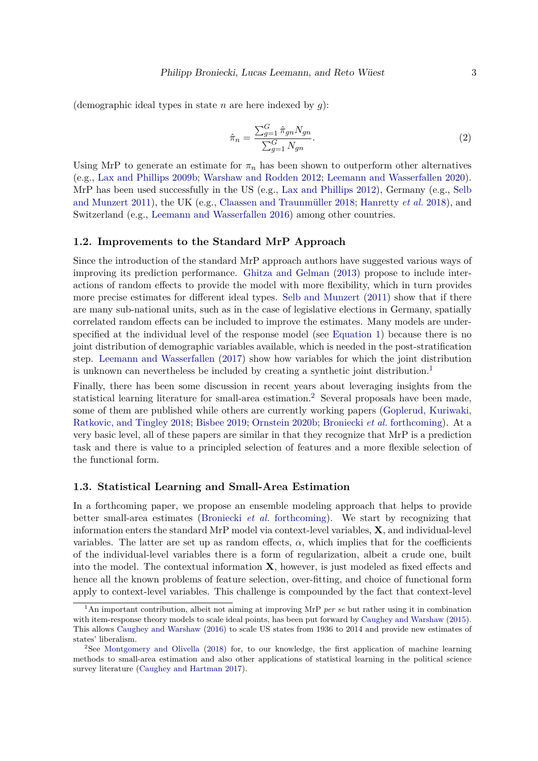(demographic ideal types in state  $n$  are here indexed by  $g$ ):

$$
\hat{\pi}_n = \frac{\sum_{g=1}^G \hat{\pi}_{gn} N_{gn}}{\sum_{g=1}^G N_{gn}}.
$$
\n
$$
(2)
$$

Using MrP to generate an estimate for  $\pi_n$  has been shown to outperform other alternatives (e.g., [Lax and Phillips 2009b;](#page-19-1) [Warshaw and Rodden 2012;](#page-20-1) [Leemann and Wasserfallen 2020\)](#page-19-4). MrP has been used successfully in the US (e.g., [Lax and Phillips 2012\)](#page-19-5), Germany (e.g., [Selb](#page-20-0) [and Munzert 2011\)](#page-20-0), the UK (e.g., [Claassen and Traunmüller 2018;](#page-18-6) [Hanretty](#page-19-3) *et al.* [2018\)](#page-19-3), and Switzerland (e.g., [Leemann and Wasserfallen 2016\)](#page-19-6) among other countries.

#### **1.2. Improvements to the Standard MrP Approach**

Since the introduction of the standard MrP approach authors have suggested various ways of improving its prediction performance. [Ghitza and Gelman](#page-18-7) [\(2013\)](#page-18-7) propose to include interactions of random effects to provide the model with more flexibility, which in turn provides more precise estimates for different ideal types. [Selb and Munzert](#page-20-0) [\(2011\)](#page-20-0) show that if there are many sub-national units, such as in the case of legislative elections in Germany, spatially correlated random effects can be included to improve the estimates. Many models are underspecified at the individual level of the response model (see [Equation 1\)](#page-1-0) because there is no joint distribution of demographic variables available, which is needed in the post-stratification step. [Leemann and Wasserfallen](#page-19-2) [\(2017\)](#page-19-2) show how variables for which the joint distribution is unknown can nevertheless be included by creating a synthetic joint distribution.<sup>[1](#page-2-0)</sup>

Finally, there has been some discussion in recent years about leveraging insights from the statistical learning literature for small-area estimation.<sup>[2](#page-2-1)</sup> Several proposals have been made, some of them are published while others are currently working papers [\(Goplerud, Kuriwaki,](#page-18-8) [Ratkovic, and Tingley 2018;](#page-18-8) [Bisbee 2019;](#page-18-5) [Ornstein 2020b;](#page-20-2) [Broniecki](#page-18-1) *et al.* [forthcoming\)](#page-18-1). At a very basic level, all of these papers are similar in that they recognize that MrP is a prediction task and there is value to a principled selection of features and a more flexible selection of the functional form.

#### **1.3. Statistical Learning and Small-Area Estimation**

In a forthcoming paper, we propose an ensemble modeling approach that helps to provide better small-area estimates [\(Broniecki](#page-18-1) *et al.* [forthcoming\)](#page-18-1). We start by recognizing that information enters the standard MrP model via context-level variables, **X**, and individual-level variables. The latter are set up as random effects,  $\alpha$ , which implies that for the coefficients of the individual-level variables there is a form of regularization, albeit a crude one, built into the model. The contextual information **X**, however, is just modeled as fixed effects and hence all the known problems of feature selection, over-fitting, and choice of functional form apply to context-level variables. This challenge is compounded by the fact that context-level

<span id="page-2-0"></span><sup>1</sup>An important contribution, albeit not aiming at improving MrP *per se* but rather using it in combination with item-response theory models to scale ideal points, has been put forward by [Caughey and Warshaw](#page-18-9) [\(2015\)](#page-18-9). This allows [Caughey and Warshaw](#page-18-10) [\(2016\)](#page-18-10) to scale US states from 1936 to 2014 and provide new estimates of states' liberalism.

<span id="page-2-1"></span><sup>2</sup>See [Montgomery and Olivella](#page-19-7) [\(2018\)](#page-19-7) for, to our knowledge, the first application of machine learning methods to small-area estimation and also other applications of statistical learning in the political science survey literature [\(Caughey and Hartman 2017\)](#page-18-11).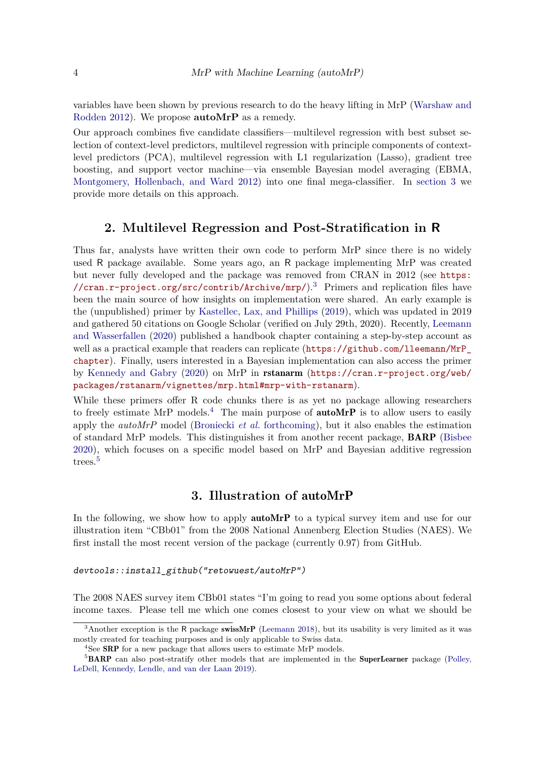variables have been shown by previous research to do the heavy lifting in MrP [\(Warshaw and](#page-20-1) [Rodden 2012\)](#page-20-1). We propose **autoMrP** as a remedy.

Our approach combines five candidate classifiers—multilevel regression with best subset selection of context-level predictors, multilevel regression with principle components of contextlevel predictors (PCA), multilevel regression with L1 regularization (Lasso), gradient tree boosting, and support vector machine—via ensemble Bayesian model averaging (EBMA, [Montgomery, Hollenbach, and Ward 2012\)](#page-19-8) into one final mega-classifier. In [section 3](#page-3-0) we provide more details on this approach.

# **2. Multilevel Regression and Post-Stratification in R**

Thus far, analysts have written their own code to perform MrP since there is no widely used R package available. Some years ago, an R package implementing MrP was created but never fully developed and the package was removed from CRAN in 2012 (see [https:](https://cran.r-project.org/src/contrib/Archive/mrp/) [//cran.r-project.org/src/contrib/Archive/mrp/](https://cran.r-project.org/src/contrib/Archive/mrp/) $)^3$  $)^3$  Primers and replication files have been the main source of how insights on implementation were shared. An early example is the (unpublished) primer by [Kastellec, Lax, and Phillips](#page-19-9) [\(2019\)](#page-19-9), which was updated in 2019 and gathered 50 citations on Google Scholar (verified on July 29th, 2020). Recently, [Leemann](#page-19-4) [and Wasserfallen](#page-19-4) [\(2020\)](#page-19-4) published a handbook chapter containing a step-by-step account as well as a practical example that readers can replicate ([https://github.com/lleemann/MrP\\_](https://github.com/lleemann/MrP_chapter) [chapter](https://github.com/lleemann/MrP_chapter)). Finally, users interested in a Bayesian implementation can also access the primer by [Kennedy and Gabry](#page-19-10) [\(2020\)](#page-19-10) on MrP in rstanarm ([https://cran.r-project.org/web/](https://cran.r-project.org/web/packages/rstanarm/vignettes/mrp.html#mrp-with-rstanarm) [packages/rstanarm/vignettes/mrp.html#mrp-with-rstanarm](https://cran.r-project.org/web/packages/rstanarm/vignettes/mrp.html#mrp-with-rstanarm)).

While these primers offer R code chunks there is as yet no package allowing researchers to freely estimate MrP models.<sup>[4](#page-3-2)</sup> The main purpose of **autoMrP** is to allow users to easily apply the *autoMrP* model [\(Broniecki](#page-18-1) *et al.* [forthcoming\)](#page-18-1), but it also enables the estimation of standard MrP models. This distinguishes it from another recent package, BARP [\(Bisbee](#page-18-12) [2020\)](#page-18-12), which focuses on a specific model based on MrP and Bayesian additive regression trees.<sup>[5](#page-3-3)</sup>

# **3. Illustration of** autoMrP

<span id="page-3-0"></span>In the following, we show how to apply **autoMrP** to a typical survey item and use for our illustration item "CBb01" from the 2008 National Annenberg Election Studies (NAES). We first install the most recent version of the package (currently 0.97) from GitHub.

*devtools::install\_github("retowuest/autoMrP")*

The 2008 NAES survey item CBb01 states "I'm going to read you some options about federal income taxes. Please tell me which one comes closest to your view on what we should be

<span id="page-3-1"></span><sup>&</sup>lt;sup>3</sup>Another exception is the R package swissMrP [\(Leemann 2018\)](#page-19-11), but its usability is very limited as it was mostly created for teaching purposes and is only applicable to Swiss data.

<span id="page-3-3"></span><span id="page-3-2"></span><sup>&</sup>lt;sup>4</sup>See **SRP** for a new package that allows users to estimate MrP models.

<sup>&</sup>lt;sup>5</sup>BARP can also post-stratify other models that are implemented in the SuperLearner package [\(Polley,](#page-20-3) [LeDell, Kennedy, Lendle, and van der Laan 2019\)](#page-20-3).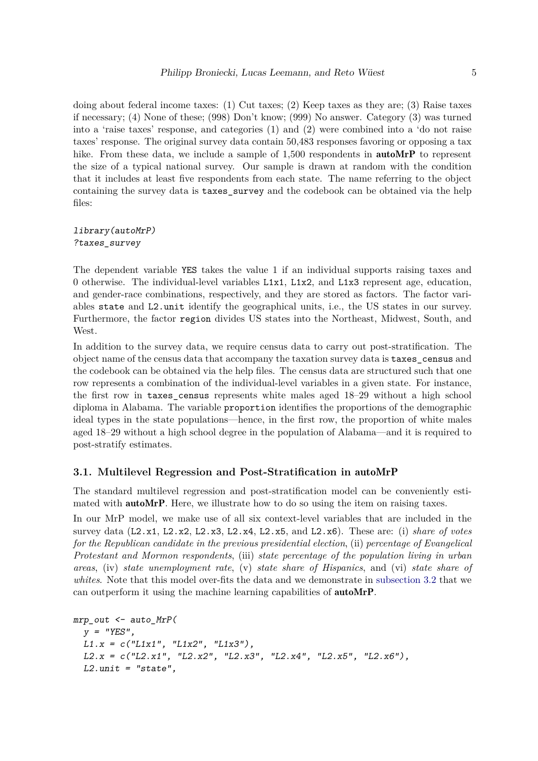doing about federal income taxes: (1) Cut taxes; (2) Keep taxes as they are; (3) Raise taxes if necessary; (4) None of these; (998) Don't know; (999) No answer. Category (3) was turned into a 'raise taxes' response, and categories (1) and (2) were combined into a 'do not raise taxes' response. The original survey data contain 50,483 responses favoring or opposing a tax hike. From these data, we include a sample of 1,500 respondents in **autoMrP** to represent the size of a typical national survey. Our sample is drawn at random with the condition that it includes at least five respondents from each state. The name referring to the object containing the survey data is taxes\_survey and the codebook can be obtained via the help files:

#### *library(autoMrP) ?taxes\_survey*

The dependent variable YES takes the value 1 if an individual supports raising taxes and 0 otherwise. The individual-level variables L1x1, L1x2, and L1x3 represent age, education, and gender-race combinations, respectively, and they are stored as factors. The factor variables state and L2.unit identify the geographical units, i.e., the US states in our survey. Furthermore, the factor region divides US states into the Northeast, Midwest, South, and West.

In addition to the survey data, we require census data to carry out post-stratification. The object name of the census data that accompany the taxation survey data is taxes\_census and the codebook can be obtained via the help files. The census data are structured such that one row represents a combination of the individual-level variables in a given state. For instance, the first row in taxes\_census represents white males aged 18–29 without a high school diploma in Alabama. The variable proportion identifies the proportions of the demographic ideal types in the state populations—hence, in the first row, the proportion of white males aged 18–29 without a high school degree in the population of Alabama—and it is required to post-stratify estimates.

#### **3.1. Multilevel Regression and Post-Stratification in** autoMrP

The standard multilevel regression and post-stratification model can be conveniently estimated with **autoMrP**. Here, we illustrate how to do so using the item on raising taxes.

In our MrP model, we make use of all six context-level variables that are included in the survey data (L2.x1, L2.x2, L2.x3, L2.x4, L2.x5, and L2.x6). These are: (i) *share of votes for the Republican candidate in the previous presidential election*, (ii) *percentage of Evangelical Protestant and Mormon respondents*, (iii) *state percentage of the population living in urban areas*, (iv) *state unemployment rate*, (v) *state share of Hispanics*, and (vi) *state share of whites*. Note that this model over-fits the data and we demonstrate in [subsection 3.2](#page-6-0) that we can outperform it using the machine learning capabilities of autoMrP.

```
mrp_out <- auto_MrP(
  y = "YES",
  L1.x = c("L1x1", "L1x2", "L1x3"),
  L2.x = c("L2.x1", "L2.x2", "L2.x3", "L2.x4", "L2.x5", "L2.x6"),
  L2.unit = "state",
```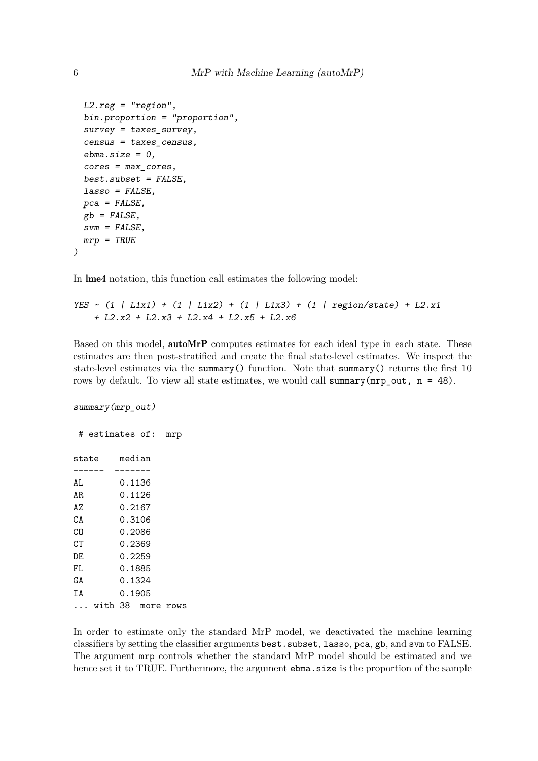```
L2.reg = "region",
bin.proportion = "proportion",
survey = taxes_survey,
census = taxes_census,
ebma.size = 0,
cores = max_cores,
best.subset = FALSE,
lasso = FALSE,
pca = FALSE,
gb = FALSE,
svm = FALSE,
mrp = TRUE
```
In lme4 notation, this function call estimates the following model:

```
YES ~ (1 | L1x1) + (1 | L1x2) + (1 | L1x3) + (1 | region/state) + L2.x1
   + L2.x2 + L2.x3 + L2.x4 + L2.x5 + L2.x6
```
Based on this model, **autoMrP** computes estimates for each ideal type in each state. These estimates are then post-stratified and create the final state-level estimates. We inspect the state-level estimates via the summary() function. Note that summary() returns the first 10 rows by default. To view all state estimates, we would call summary( $mrp_out$ ,  $n = 48$ ).

*summary(mrp\_out)*

# estimates of: mrp state median ------ ------- AL 0.1136 AR 0.1126 AZ 0.2167 CA 0.3106 CO 0.2086 CT 0.2369 DE 0.2259 FL 0.1885 GA 0.1324 IA 0.1905 ... with 38 more rows

In order to estimate only the standard MrP model, we deactivated the machine learning classifiers by setting the classifier arguments best.subset, lasso, pca, gb, and svm to FALSE. The argument mrp controls whether the standard MrP model should be estimated and we hence set it to TRUE. Furthermore, the argument ebma.size is the proportion of the sample

*)*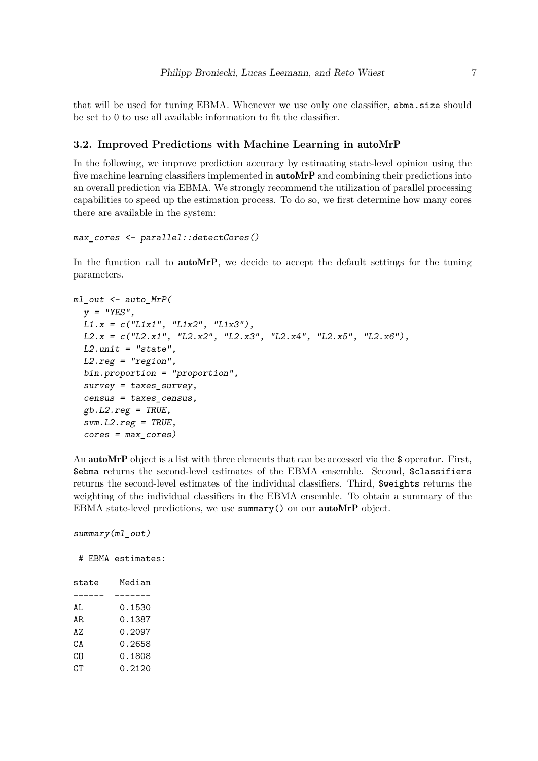that will be used for tuning EBMA. Whenever we use only one classifier, ebma.size should be set to 0 to use all available information to fit the classifier.

#### <span id="page-6-0"></span>**3.2. Improved Predictions with Machine Learning in** autoMrP

In the following, we improve prediction accuracy by estimating state-level opinion using the five machine learning classifiers implemented in **autoMrP** and combining their predictions into an overall prediction via EBMA. We strongly recommend the utilization of parallel processing capabilities to speed up the estimation process. To do so, we first determine how many cores there are available in the system:

```
max_cores <- parallel::detectCores()
```
In the function call to **autoMrP**, we decide to accept the default settings for the tuning parameters.

```
ml_out <- auto_MrP(
  y = "YES",
  L1.x = c("L1x1", "L1x2", "L1x3"),
  L2.x = c("L2.x1", "L2.x2", "L2.x3", "L2.x4", "L2.x5", "L2.x6"),
  L2.unit = "state",
  L2.reg = "region",
  bin.proportion = "proportion",
  survey = taxes_survey,
  census = taxes_census,
  gb.L2.reg = TRUE,
  svm.L2.reg = TRUE,
  cores = max_cores)
```
An **autoMrP** object is a list with three elements that can be accessed via the \$ operator. First, \$ebma returns the second-level estimates of the EBMA ensemble. Second, \$classifiers returns the second-level estimates of the individual classifiers. Third, \$weights returns the weighting of the individual classifiers in the EBMA ensemble. To obtain a summary of the EBMA state-level predictions, we use summary() on our autoMrP object.

*summary(ml\_out)*

# EBMA estimates:

| state | Median   |
|-------|----------|
|       |          |
| AL    | 0.1530   |
| AR.   | 0.1387   |
| A7.   | 0.2097   |
| CА    | Ი . 2658 |
| CО    | 0.1808   |
| CТ    | 0.2120   |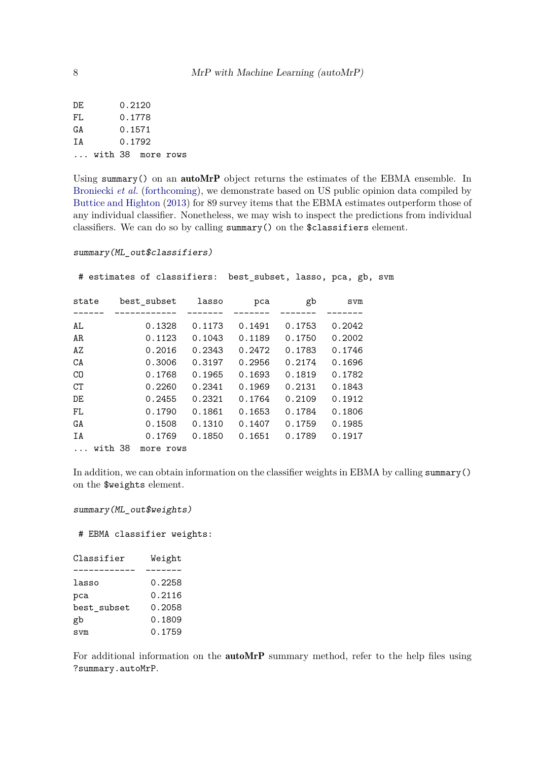| 0.1778<br>FL<br>0.1571<br>0.1792<br>with 38 more rows | DF. |  | 0.2120 |  |  |  |  |
|-------------------------------------------------------|-----|--|--------|--|--|--|--|
| GΑ<br>ТA<br>$\mathbf{1}$                              |     |  |        |  |  |  |  |
|                                                       |     |  |        |  |  |  |  |
|                                                       |     |  |        |  |  |  |  |
|                                                       |     |  |        |  |  |  |  |

Using summary() on an autoMrP object returns the estimates of the EBMA ensemble. In [Broniecki](#page-18-1) *et al.* [\(forthcoming\)](#page-18-1), we demonstrate based on US public opinion data compiled by [Buttice and Highton](#page-18-13) [\(2013\)](#page-18-13) for 89 survey items that the EBMA estimates outperform those of any individual classifier. Nonetheless, we may wish to inspect the predictions from individual classifiers. We can do so by calling summary() on the \$classifiers element.

```
summary(ML_out$classifiers)
```
# estimates of classifiers: best\_subset, lasso, pca, gb, svm state best\_subset lasso pca gb svm ------ ------------ ------- ------- ------- ------- AL 0.1328 0.1173 0.1491 0.1753 0.2042 AR 0.1123 0.1043 0.1189 0.1750 0.2002 AZ 0.2016 0.2343 0.2472 0.1783 0.1746 CA 0.3006 0.3197 0.2956 0.2174 0.1696 CO 0.1768 0.1965 0.1693 0.1819 0.1782 CT 0.2260 0.2341 0.1969 0.2131 0.1843 DE 0.2455 0.2321 0.1764 0.2109 0.1912 FL 0.1790 0.1861 0.1653 0.1784 0.1806 GA 0.1508 0.1310 0.1407 0.1759 0.1985 IA 0.1769 0.1850 0.1651 0.1789 0.1917 ... with 38 more rows

In addition, we can obtain information on the classifier weights in EBMA by calling summary() on the \$weights element.

```
summary(ML_out$weights)
```
# EBMA classifier weights:

| Classifier  | Weight |  |  |
|-------------|--------|--|--|
|             |        |  |  |
| lasso       | 0.2258 |  |  |
| рса         | 0.2116 |  |  |
| best subset | 0.2058 |  |  |
| gb          | 0.1809 |  |  |
| svm         | 0.1759 |  |  |

For additional information on the **autoMrP** summary method, refer to the help files using ?summary.autoMrP.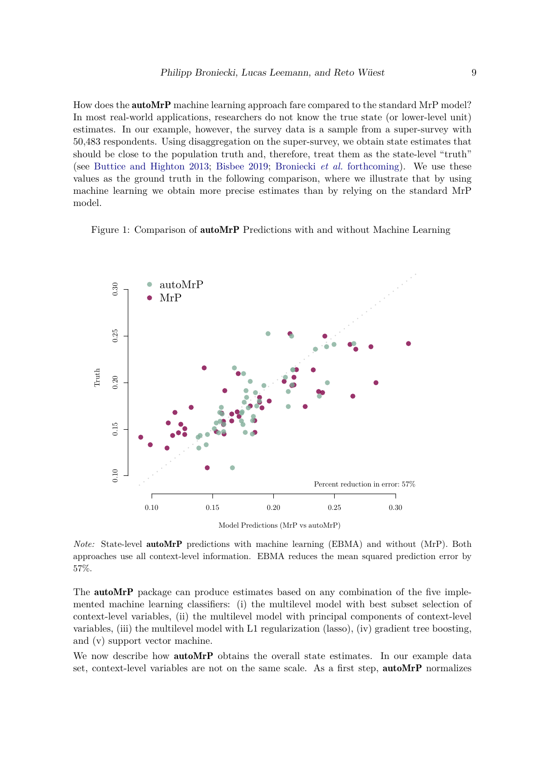How does the **autoMrP** machine learning approach fare compared to the standard MrP model? In most real-world applications, researchers do not know the true state (or lower-level unit) estimates. In our example, however, the survey data is a sample from a super-survey with 50,483 respondents. Using disaggregation on the super-survey, we obtain state estimates that should be close to the population truth and, therefore, treat them as the state-level "truth" (see [Buttice and Highton 2013;](#page-18-13) [Bisbee 2019;](#page-18-5) [Broniecki](#page-18-1) *et al.* [forthcoming\)](#page-18-1). We use these values as the ground truth in the following comparison, where we illustrate that by using machine learning we obtain more precise estimates than by relying on the standard MrP model.

Figure 1: Comparison of autoMrP Predictions with and without Machine Learning



Model Predictions (MrP vs autoMrP)

*Note:* State-level autoMrP predictions with machine learning (EBMA) and without (MrP). Both approaches use all context-level information. EBMA reduces the mean squared prediction error by 57%.

The **autoMrP** package can produce estimates based on any combination of the five implemented machine learning classifiers: (i) the multilevel model with best subset selection of context-level variables, (ii) the multilevel model with principal components of context-level variables, (iii) the multilevel model with L1 regularization (lasso), (iv) gradient tree boosting, and (v) support vector machine.

We now describe how **autoMrP** obtains the overall state estimates. In our example data set, context-level variables are not on the same scale. As a first step, autoMrP normalizes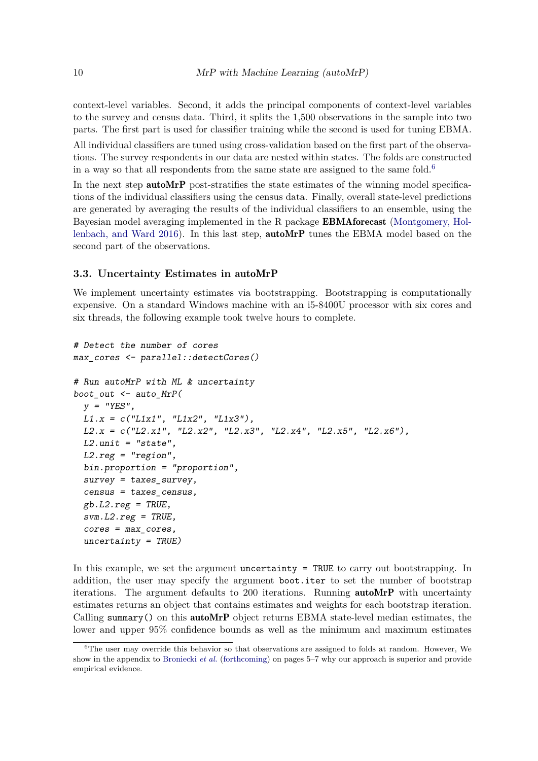context-level variables. Second, it adds the principal components of context-level variables to the survey and census data. Third, it splits the 1,500 observations in the sample into two parts. The first part is used for classifier training while the second is used for tuning EBMA.

All individual classifiers are tuned using cross-validation based on the first part of the observations. The survey respondents in our data are nested within states. The folds are constructed in a way so that all respondents from the same state are assigned to the same fold.<sup>[6](#page-9-0)</sup>

In the next step **autoMrP** post-stratifies the state estimates of the winning model specifications of the individual classifiers using the census data. Finally, overall state-level predictions are generated by averaging the results of the individual classifiers to an ensemble, using the Bayesian model averaging implemented in the R package EBMAforecast [\(Montgomery, Hol](#page-19-12)[lenbach, and Ward 2016\)](#page-19-12). In this last step, autoMrP tunes the EBMA model based on the second part of the observations.

#### **3.3. Uncertainty Estimates in** autoMrP

We implement uncertainty estimates via bootstrapping. Bootstrapping is computationally expensive. On a standard Windows machine with an i5-8400U processor with six cores and six threads, the following example took twelve hours to complete.

```
# Detect the number of cores
max_cores <- parallel::detectCores()
# Run autoMrP with ML & uncertainty
boot_out <- auto_MrP(
 y = "YES",
 L1.x = c("L1x1", "L1x2", "L1x3"),
 L2.x = c("L2.x1", "L2.x2", "L2.x3", "L2.x4", "L2.x5", "L2.x6"),
 L2.unit = "state",
 L2.reg = "region",
 bin.proportion = "proportion",
 survey = taxes_survey,
  census = taxes_census,
 gb.L2.reg = TRUE,
 svm.L2.reg = TRUE,
  cores = max_cores,
  uncertainty = TRUE)
```
In this example, we set the argument uncertainty  $=$  TRUE to carry out bootstrapping. In addition, the user may specify the argument boot.iter to set the number of bootstrap iterations. The argument defaults to 200 iterations. Running autoMrP with uncertainty estimates returns an object that contains estimates and weights for each bootstrap iteration. Calling summary() on this autoMrP object returns EBMA state-level median estimates, the lower and upper 95% confidence bounds as well as the minimum and maximum estimates

<span id="page-9-0"></span> $6$ The user may override this behavior so that observations are assigned to folds at random. However, We show in the appendix to [Broniecki](#page-18-1) *et al.* [\(forthcoming\)](#page-18-1) on pages 5–7 why our approach is superior and provide empirical evidence.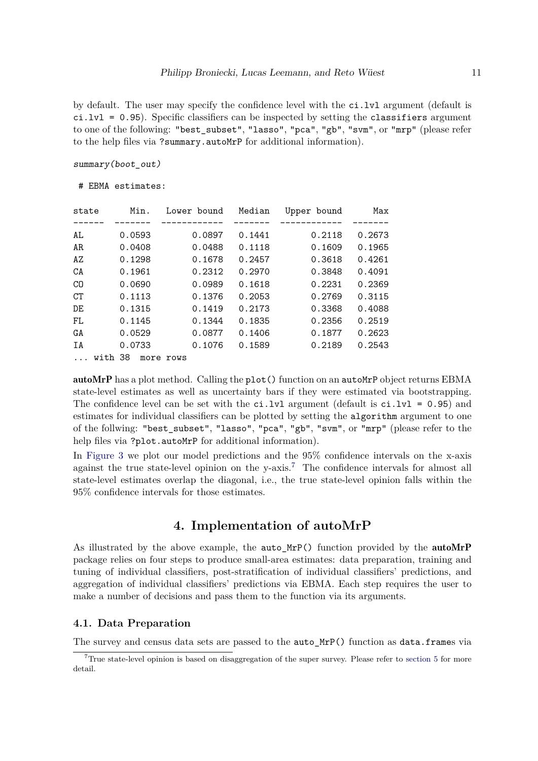by default. The user may specify the confidence level with the  $ci.lvl$  argument (default is  $ci.lvl = 0.95$ ). Specific classifiers can be inspected by setting the classifiers argument to one of the following: "best\_subset", "lasso", "pca", "gb", "svm", or "mrp" (please refer to the help files via ?summary.autoMrP for additional information).

*summary(boot\_out)*

# EBMA estimates:

| state          |            | Min. | Lower bound |        | Median | Upper bound | Max    |
|----------------|------------|------|-------------|--------|--------|-------------|--------|
|                |            |      |             |        |        |             |        |
| AL             | 0.0593     |      |             | 0.0897 | 0.1441 | 0.2118      | 0.2673 |
| AR             | 0.0408     |      |             | 0.0488 | 0.1118 | 0.1609      | 0.1965 |
| AZ             | 0.1298     |      |             | 0.1678 | 0.2457 | 0.3618      | 0.4261 |
| CA             | 0.1961     |      |             | 0.2312 | 0.2970 | 0.3848      | 0.4091 |
| C <sub>0</sub> | 0.0690     |      |             | 0.0989 | 0.1618 | 0.2231      | 0.2369 |
| CT             | 0.1113     |      |             | 0.1376 | 0.2053 | 0.2769      | 0.3115 |
| DE             | 0.1315     |      |             | 0.1419 | 0.2173 | 0.3368      | 0.4088 |
| FL             | 0.1145     |      |             | 0.1344 | 0.1835 | 0.2356      | 0.2519 |
| GA             | 0.0529     |      |             | 0.0877 | 0.1406 | 0.1877      | 0.2623 |
| ΙA             | 0.0733     |      |             | 0.1076 | 0.1589 | 0.2189      | 0.2543 |
|                | 38<br>with | more | rows        |        |        |             |        |

autoMrP has a plot method. Calling the plot() function on an autoMrP object returns EBMA state-level estimates as well as uncertainty bars if they were estimated via bootstrapping. The confidence level can be set with the  $ci.lvl$  argument (default is  $ci.lvl = 0.95$ ) and estimates for individual classifiers can be plotted by setting the algorithm argument to one of the follwing: "best\_subset", "lasso", "pca", "gb", "svm", or "mrp" (please refer to the help files via ?plot.autoMrP for additional information).

In [Figure 3](#page-12-0) we plot our model predictions and the 95% confidence intervals on the x-axis against the true state-level opinion on the y-axis.<sup>[7](#page-10-0)</sup> The confidence intervals for almost all state-level estimates overlap the diagonal, i.e., the true state-level opinion falls within the 95% confidence intervals for those estimates.

## **4. Implementation of autoMrP**

As illustrated by the above example, the auto\_MrP() function provided by the autoMrP package relies on four steps to produce small-area estimates: data preparation, training and tuning of individual classifiers, post-stratification of individual classifiers' predictions, and aggregation of individual classifiers' predictions via EBMA. Each step requires the user to make a number of decisions and pass them to the function via its arguments.

#### **4.1. Data Preparation**

The survey and census data sets are passed to the auto\_MrP() function as data.frames via

<span id="page-10-0"></span><sup>7</sup>True state-level opinion is based on disaggregation of the super survey. Please refer to [section 5](#page-15-0) for more detail.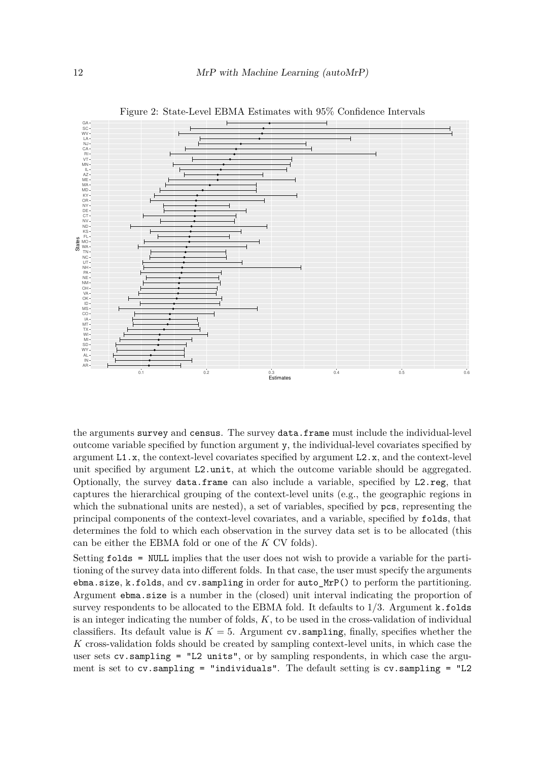

Figure 2: State-Level EBMA Estimates with 95% Confidence Intervals

the arguments survey and census. The survey data.frame must include the individual-level outcome variable specified by function argument y, the individual-level covariates specified by argument L1.x, the context-level covariates specified by argument L2.x, and the context-level unit specified by argument L2.unit, at which the outcome variable should be aggregated. Optionally, the survey data.frame can also include a variable, specified by L2.reg, that captures the hierarchical grouping of the context-level units (e.g., the geographic regions in which the subnational units are nested), a set of variables, specified by  $pcs$ , representing the principal components of the context-level covariates, and a variable, specified by folds, that determines the fold to which each observation in the survey data set is to be allocated (this can be either the EBMA fold or one of the *K* CV folds).

Setting folds = NULL implies that the user does not wish to provide a variable for the partitioning of the survey data into different folds. In that case, the user must specify the arguments ebma.size, k.folds, and cv.sampling in order for auto\_MrP() to perform the partitioning. Argument ebma.size is a number in the (closed) unit interval indicating the proportion of survey respondents to be allocated to the EBMA fold. It defaults to 1/3. Argument k.folds is an integer indicating the number of folds, *K*, to be used in the cross-validation of individual classifiers. Its default value is  $K = 5$ . Argument cv. sampling, finally, specifies whether the *K* cross-validation folds should be created by sampling context-level units, in which case the user sets  $cv$ . sampling = "L2 units", or by sampling respondents, in which case the argument is set to  $cv$ . sampling = "individuals". The default setting is  $cv$ . sampling = "L2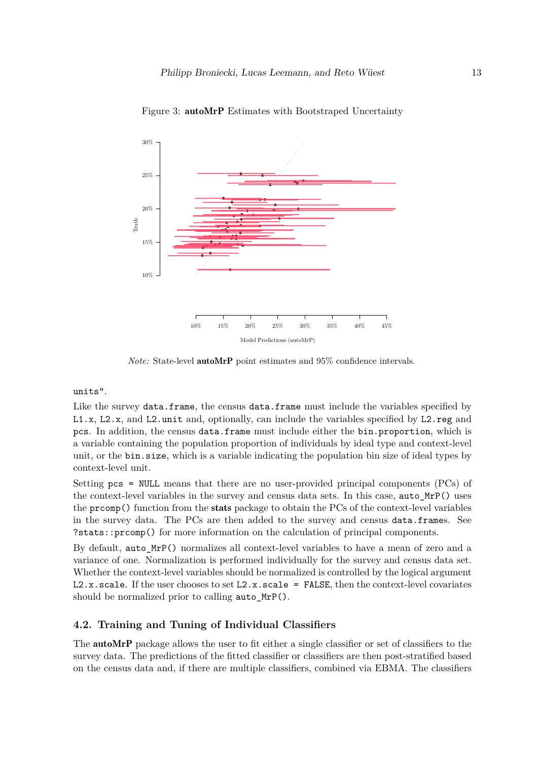

<span id="page-12-0"></span>Figure 3: autoMrP Estimates with Bootstraped Uncertainty

*Note:* State-level **autoMrP** point estimates and 95% confidence intervals.

## units".

Like the survey data.frame, the census data.frame must include the variables specified by L1.x, L2.x, and L2.unit and, optionally, can include the variables specified by L2.reg and pcs. In addition, the census data.frame must include either the bin.proportion, which is a variable containing the population proportion of individuals by ideal type and context-level unit, or the bin.size, which is a variable indicating the population bin size of ideal types by context-level unit.

Setting pcs = NULL means that there are no user-provided principal components (PCs) of the context-level variables in the survey and census data sets. In this case, auto\_MrP() uses the prcomp() function from the stats package to obtain the PCs of the context-level variables in the survey data. The PCs are then added to the survey and census data.frames. See ?stats::prcomp() for more information on the calculation of principal components.

By default, auto\_MrP() normalizes all context-level variables to have a mean of zero and a variance of one. Normalization is performed individually for the survey and census data set. Whether the context-level variables should be normalized is controlled by the logical argument  $L2.x.scale$ . If the user chooses to set  $L2.x.scale$  = FALSE, then the context-level covariates should be normalized prior to calling auto MrP().

## **4.2. Training and Tuning of Individual Classifiers**

The autoMrP package allows the user to fit either a single classifier or set of classifiers to the survey data. The predictions of the fitted classifier or classifiers are then post-stratified based on the census data and, if there are multiple classifiers, combined via EBMA. The classifiers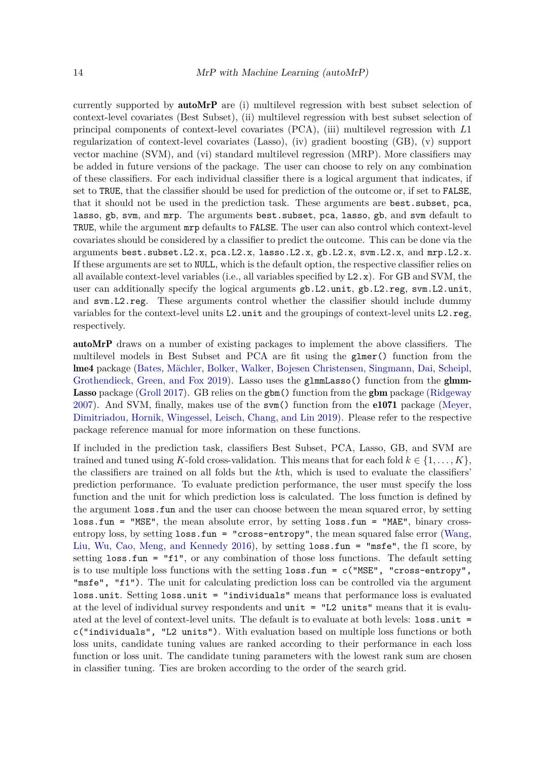currently supported by autoMrP are (i) multilevel regression with best subset selection of context-level covariates (Best Subset), (ii) multilevel regression with best subset selection of principal components of context-level covariates (PCA), (iii) multilevel regression with *L*1 regularization of context-level covariates (Lasso), (iv) gradient boosting (GB), (v) support vector machine (SVM), and (vi) standard multilevel regression (MRP). More classifiers may be added in future versions of the package. The user can choose to rely on any combination of these classifiers. For each individual classifier there is a logical argument that indicates, if set to TRUE, that the classifier should be used for prediction of the outcome or, if set to FALSE, that it should not be used in the prediction task. These arguments are best. subset, pca, lasso, gb, svm, and mrp. The arguments best.subset, pca, lasso, gb, and svm default to TRUE, while the argument mrp defaults to FALSE. The user can also control which context-level covariates should be considered by a classifier to predict the outcome. This can be done via the arguments best.subset.L2.x, pca.L2.x, lasso.L2.x, gb.L2.x, svm.L2.x, and mrp.L2.x. If these arguments are set to NULL, which is the default option, the respective classifier relies on all available context-level variables (i.e., all variables specified by L2.x). For GB and SVM, the user can additionally specify the logical arguments  $gb.L2.\text{unit}, gb.L2.\text{reg}, swm.L2.\text{unit},$ and svm.L2.reg. These arguments control whether the classifier should include dummy variables for the context-level units L2.unit and the groupings of context-level units L2.reg, respectively.

autoMrP draws on a number of existing packages to implement the above classifiers. The multilevel models in Best Subset and PCA are fit using the glmer() function from the lme4 package [\(Bates, Mächler, Bolker, Walker, Bojesen Christensen, Singmann, Dai, Scheipl,](#page-18-14) [Grothendieck, Green, and Fox 2019\)](#page-18-14). Lasso uses the glmmLasso() function from the glmm-Lasso package [\(Groll 2017\)](#page-19-13). GB relies on the gbm() function from the gbm package [\(Ridgeway](#page-20-4) [2007\)](#page-20-4). And SVM, finally, makes use of the svm() function from the e1071 package [\(Meyer,](#page-19-14) [Dimitriadou, Hornik, Wingessel, Leisch, Chang, and Lin 2019\)](#page-19-14). Please refer to the respective package reference manual for more information on these functions.

If included in the prediction task, classifiers Best Subset, PCA, Lasso, GB, and SVM are trained and tuned using *K*-fold cross-validation. This means that for each fold  $k \in \{1, \ldots, K\}$ , the classifiers are trained on all folds but the *k*th, which is used to evaluate the classifiers' prediction performance. To evaluate prediction performance, the user must specify the loss function and the unit for which prediction loss is calculated. The loss function is defined by the argument loss.fun and the user can choose between the mean squared error, by setting loss.fun = "MSE", the mean absolute error, by setting loss.fun = "MAE", binary crossentropy loss, by setting  $loss.time = "cross-entropy",$  the mean squared false error [\(Wang,](#page-20-5) [Liu, Wu, Cao, Meng, and Kennedy 2016\)](#page-20-5), by setting loss.fun = "msfe", the f1 score, by setting loss.fun = "f1", or any combination of those loss functions. The default setting is to use multiple loss functions with the setting  $loss.time = c("MSE", "cross-entropy",$ "msfe", "f1"). The unit for calculating prediction loss can be controlled via the argument loss.unit. Setting loss.unit = "individuals" means that performance loss is evaluated at the level of individual survey respondents and unit = "L2 units" means that it is evaluated at the level of context-level units. The default is to evaluate at both levels: loss.unit = c("individuals", "L2 units"). With evaluation based on multiple loss functions or both loss units, candidate tuning values are ranked according to their performance in each loss function or loss unit. The candidate tuning parameters with the lowest rank sum are chosen in classifier tuning. Ties are broken according to the order of the search grid.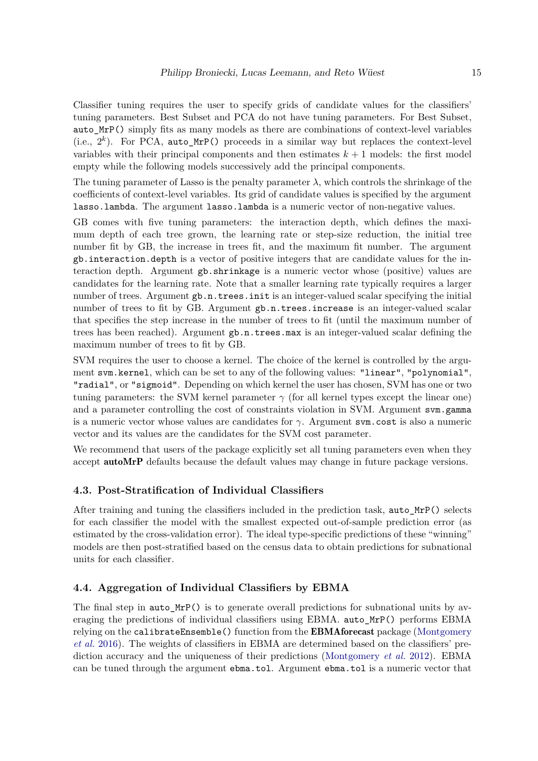Classifier tuning requires the user to specify grids of candidate values for the classifiers' tuning parameters. Best Subset and PCA do not have tuning parameters. For Best Subset, auto\_MrP() simply fits as many models as there are combinations of context-level variables (i.e.,  $2^k$ ). For PCA, auto\_MrP() proceeds in a similar way but replaces the context-level variables with their principal components and then estimates  $k+1$  models: the first model empty while the following models successively add the principal components.

The tuning parameter of Lasso is the penalty parameter  $\lambda$ , which controls the shrinkage of the coefficients of context-level variables. Its grid of candidate values is specified by the argument lasso.lambda. The argument lasso.lambda is a numeric vector of non-negative values.

GB comes with five tuning parameters: the interaction depth, which defines the maximum depth of each tree grown, the learning rate or step-size reduction, the initial tree number fit by GB, the increase in trees fit, and the maximum fit number. The argument gb.interaction.depth is a vector of positive integers that are candidate values for the interaction depth. Argument gb.shrinkage is a numeric vector whose (positive) values are candidates for the learning rate. Note that a smaller learning rate typically requires a larger number of trees. Argument  $gb.n.trees.init$  is an integer-valued scalar specifying the initial number of trees to fit by GB. Argument  $gb.n.trees.increase$  is an integer-valued scalar that specifies the step increase in the number of trees to fit (until the maximum number of trees has been reached). Argument gb.n.trees.max is an integer-valued scalar defining the maximum number of trees to fit by GB.

SVM requires the user to choose a kernel. The choice of the kernel is controlled by the argument svm.kernel, which can be set to any of the following values: "linear", "polynomial", "radial", or "sigmoid". Depending on which kernel the user has chosen, SVM has one or two tuning parameters: the SVM kernel parameter  $\gamma$  (for all kernel types except the linear one) and a parameter controlling the cost of constraints violation in SVM. Argument svm.gamma is a numeric vector whose values are candidates for *γ*. Argument svm.cost is also a numeric vector and its values are the candidates for the SVM cost parameter.

We recommend that users of the package explicitly set all tuning parameters even when they accept **autoMrP** defaults because the default values may change in future package versions.

## **4.3. Post-Stratification of Individual Classifiers**

After training and tuning the classifiers included in the prediction task, auto\_MrP() selects for each classifier the model with the smallest expected out-of-sample prediction error (as estimated by the cross-validation error). The ideal type-specific predictions of these "winning" models are then post-stratified based on the census data to obtain predictions for subnational units for each classifier.

## **4.4. Aggregation of Individual Classifiers by EBMA**

The final step in auto  $\text{MrP}()$  is to generate overall predictions for subnational units by averaging the predictions of individual classifiers using EBMA. auto\_MrP() performs EBMA relying on the calibrateEnsemble() function from the **EBMAforecast** package [\(Montgomery](#page-19-12) *[et al.](#page-19-12)* [2016\)](#page-19-12). The weights of classifiers in EBMA are determined based on the classifiers' prediction accuracy and the uniqueness of their predictions [\(Montgomery](#page-19-8) *et al.* [2012\)](#page-19-8). EBMA can be tuned through the argument ebma.tol. Argument ebma.tol is a numeric vector that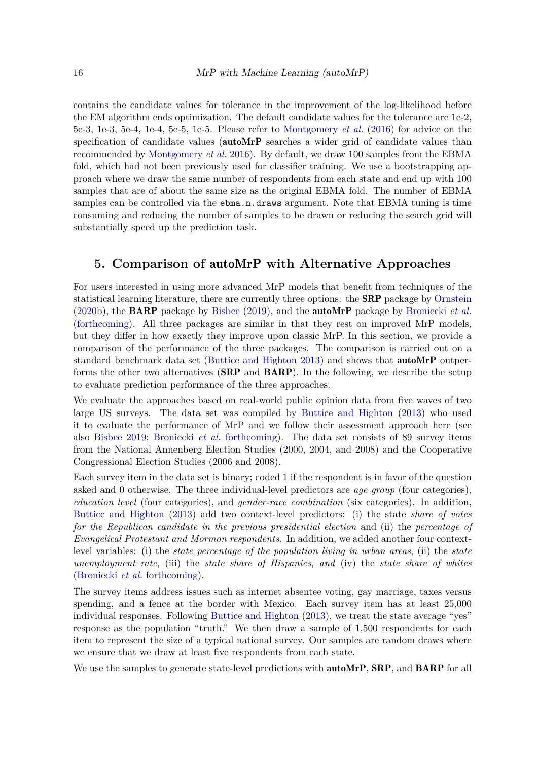contains the candidate values for tolerance in the improvement of the log-likelihood before the EM algorithm ends optimization. The default candidate values for the tolerance are 1e-2, 5e-3, 1e-3, 5e-4, 1e-4, 5e-5, 1e-5. Please refer to [Montgomery](#page-19-12) *et al.* [\(2016\)](#page-19-12) for advice on the specification of candidate values (autoMrP searches a wider grid of candidate values than recommended by [Montgomery](#page-19-12) *et al.* [2016\)](#page-19-12). By default, we draw 100 samples from the EBMA fold, which had not been previously used for classifier training. We use a bootstrapping approach where we draw the same number of respondents from each state and end up with 100 samples that are of about the same size as the original EBMA fold. The number of EBMA samples can be controlled via the ebma.n.draws argument. Note that EBMA tuning is time consuming and reducing the number of samples to be drawn or reducing the search grid will substantially speed up the prediction task.

# <span id="page-15-0"></span>**5. Comparison of** autoMrP **with Alternative Approaches**

For users interested in using more advanced MrP models that benefit from techniques of the statistical learning literature, there are currently three options: the SRP package by [Ornstein](#page-20-2) [\(2020b\)](#page-20-2), the BARP package by [Bisbee](#page-18-5) [\(2019\)](#page-18-5), and the autoMrP package by [Broniecki](#page-18-1) *et al.* [\(forthcoming\)](#page-18-1). All three packages are similar in that they rest on improved MrP models, but they differ in how exactly they improve upon classic MrP. In this section, we provide a comparison of the performance of the three packages. The comparison is carried out on a standard benchmark data set [\(Buttice and Highton 2013\)](#page-18-13) and shows that autoMrP outperforms the other two alternatives (SRP and BARP). In the following, we describe the setup to evaluate prediction performance of the three approaches.

We evaluate the approaches based on real-world public opinion data from five waves of two large US surveys. The data set was compiled by [Buttice and Highton](#page-18-13) [\(2013\)](#page-18-13) who used it to evaluate the performance of MrP and we follow their assessment approach here (see also [Bisbee 2019;](#page-18-5) [Broniecki](#page-18-1) *et al.* [forthcoming\)](#page-18-1). The data set consists of 89 survey items from the National Annenberg Election Studies (2000, 2004, and 2008) and the Cooperative Congressional Election Studies (2006 and 2008).

Each survey item in the data set is binary; coded 1 if the respondent is in favor of the question asked and 0 otherwise. The three individual-level predictors are *age group* (four categories), *education level* (four categories), and *gender-race combination* (six categories). In addition, [Buttice and Highton](#page-18-13) [\(2013\)](#page-18-13) add two context-level predictors: (i) the state *share of votes for the Republican candidate in the previous presidential election* and (ii) the *percentage of Evangelical Protestant and Mormon respondents.* In addition, we added another four contextlevel variables: (i) the *state percentage of the population living in urban areas*, (ii) the *state unemployment rate*, (iii) the *state share of Hispanics*, *and* (iv) the *state share of whites* [\(Broniecki](#page-18-1) *et al.* [forthcoming\)](#page-18-1).

The survey items address issues such as internet absentee voting, gay marriage, taxes versus spending, and a fence at the border with Mexico. Each survey item has at least 25,000 individual responses. Following [Buttice and Highton](#page-18-13) [\(2013\)](#page-18-13), we treat the state average "yes" response as the population "truth." We then draw a sample of 1,500 respondents for each item to represent the size of a typical national survey. Our samples are random draws where we ensure that we draw at least five respondents from each state.

We use the samples to generate state-level predictions with **autoMrP, SRP**, and **BARP** for all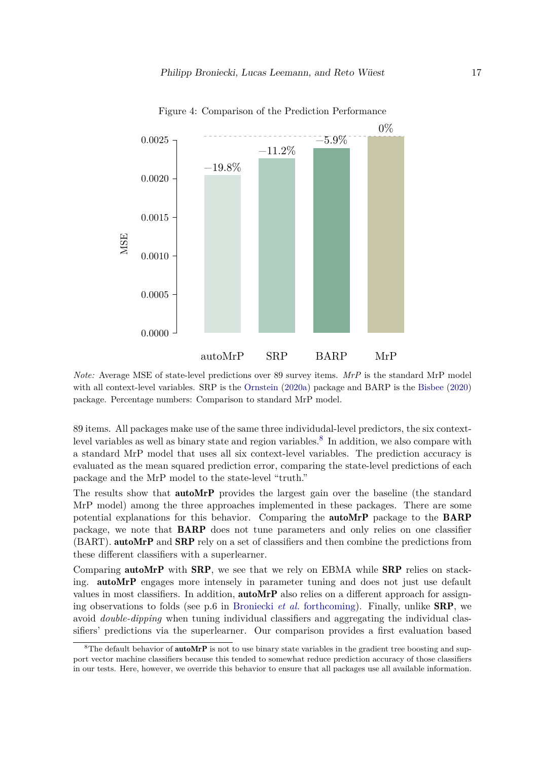

Figure 4: Comparison of the Prediction Performance

*Note:* Average MSE of state-level predictions over 89 survey items. *MrP* is the standard MrP model with all context-level variables. SRP is the [Ornstein](#page-20-6) [\(2020a\)](#page-20-6) package and BARP is the [Bisbee](#page-18-12) [\(2020\)](#page-18-12) package. Percentage numbers: Comparison to standard MrP model.

89 items. All packages make use of the same three individudal-level predictors, the six context-level variables as well as binary state and region variables.<sup>[8](#page-16-0)</sup> In addition, we also compare with a standard MrP model that uses all six context-level variables. The prediction accuracy is evaluated as the mean squared prediction error, comparing the state-level predictions of each package and the MrP model to the state-level "truth."

The results show that **autoMrP** provides the largest gain over the baseline (the standard MrP model) among the three approaches implemented in these packages. There are some potential explanations for this behavior. Comparing the autoMrP package to the BARP package, we note that BARP does not tune parameters and only relies on one classifier (BART). autoMrP and SRP rely on a set of classifiers and then combine the predictions from these different classifiers with a superlearner.

Comparing **autoMrP** with **SRP**, we see that we rely on EBMA while **SRP** relies on stacking. autoMrP engages more intensely in parameter tuning and does not just use default values in most classifiers. In addition, **autoMrP** also relies on a different approach for assigning observations to folds (see p.6 in [Broniecki](#page-18-1) *et al.* [forthcoming\)](#page-18-1). Finally, unlike SRP, we avoid *double-dipping* when tuning individual classifiers and aggregating the individual classifiers' predictions via the superlearner. Our comparison provides a first evaluation based

<span id="page-16-0"></span><sup>&</sup>lt;sup>8</sup>The default behavior of **autoMrP** is not to use binary state variables in the gradient tree boosting and support vector machine classifiers because this tended to somewhat reduce prediction accuracy of those classifiers in our tests. Here, however, we override this behavior to ensure that all packages use all available information.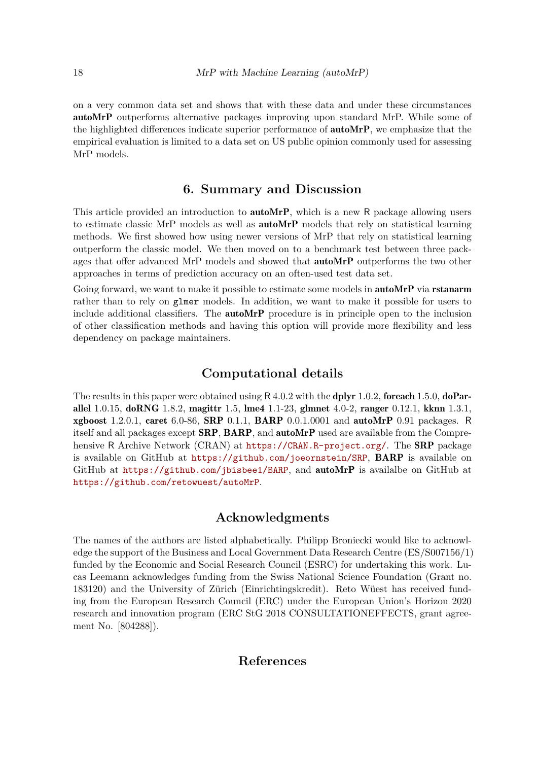on a very common data set and shows that with these data and under these circumstances autoMrP outperforms alternative packages improving upon standard MrP. While some of the highlighted differences indicate superior performance of autoMrP, we emphasize that the empirical evaluation is limited to a data set on US public opinion commonly used for assessing MrP models.

## **6. Summary and Discussion**

This article provided an introduction to **autoMrP**, which is a new R package allowing users to estimate classic MrP models as well as autoMrP models that rely on statistical learning methods. We first showed how using newer versions of MrP that rely on statistical learning outperform the classic model. We then moved on to a benchmark test between three packages that offer advanced MrP models and showed that autoMrP outperforms the two other approaches in terms of prediction accuracy on an often-used test data set.

Going forward, we want to make it possible to estimate some models in **autoMrP** via rstanarm rather than to rely on glmer models. In addition, we want to make it possible for users to include additional classifiers. The autoMrP procedure is in principle open to the inclusion of other classification methods and having this option will provide more flexibility and less dependency on package maintainers.

# **Computational details**

The results in this paper were obtained using  $R$  4.0.2 with the dplyr 1.0.2, foreach 1.5.0, doParallel 1.0.15, doRNG 1.8.2, magittr 1.5, lme4 1.1-23, glmnet 4.0-2, ranger 0.12.1, kknn 1.3.1, xgboost 1.2.0.1, caret 6.0-86, SRP 0.1.1, BARP 0.0.1.0001 and autoMrP 0.91 packages. R itself and all packages except SRP, BARP, and autoMrP used are available from the Comprehensive R Archive Network (CRAN) at <https://CRAN.R-project.org/>. The **SRP** package is available on GitHub at <https://github.com/joeornstein/SRP>, BARP is available on GitHub at <https://github.com/jbisbee1/BARP>, and autoMrP is availalbe on GitHub at <https://github.com/retowuest/autoMrP>.

# **Acknowledgments**

The names of the authors are listed alphabetically. Philipp Broniecki would like to acknowledge the support of the Business and Local Government Data Research Centre (ES/S007156/1) funded by the Economic and Social Research Council (ESRC) for undertaking this work. Lucas Leemann acknowledges funding from the Swiss National Science Foundation (Grant no. 183120) and the University of Zürich (Einrichtingskredit). Reto Wüest has received funding from the European Research Council (ERC) under the European Union's Horizon 2020 research and innovation program (ERC StG 2018 CONSULTATIONEFFECTS, grant agreement No. [804288]).

# **References**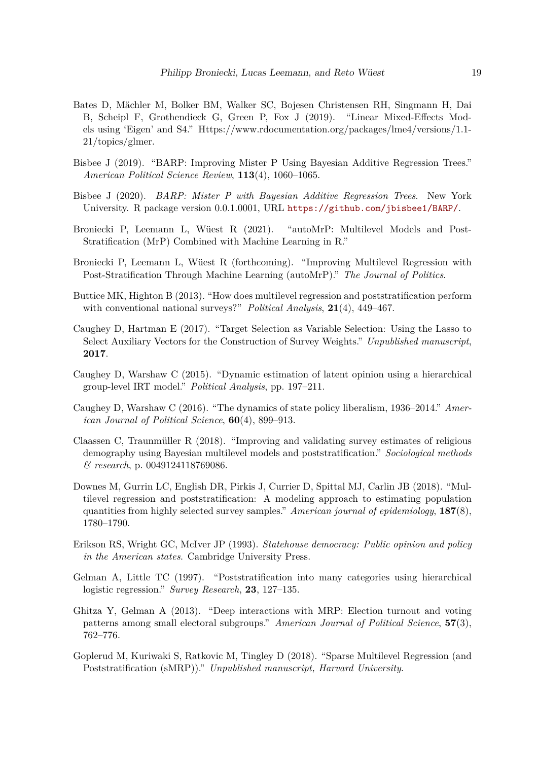- <span id="page-18-14"></span>Bates D, Mächler M, Bolker BM, Walker SC, Bojesen Christensen RH, Singmann H, Dai B, Scheipl F, Grothendieck G, Green P, Fox J (2019). "Linear Mixed-Effects Models using 'Eigen' and S4." Https://www.rdocumentation.org/packages/lme4/versions/1.1- 21/topics/glmer.
- <span id="page-18-5"></span>Bisbee J (2019). "BARP: Improving Mister P Using Bayesian Additive Regression Trees." *American Political Science Review*, **113**(4), 1060–1065.
- <span id="page-18-12"></span>Bisbee J (2020). *BARP: Mister P with Bayesian Additive Regression Trees*. New York University. R package version 0.0.1.0001, URL <https://github.com/jbisbee1/BARP/>.
- <span id="page-18-0"></span>Broniecki P, Leemann L, Wüest R (2021). "autoMrP: Multilevel Models and Post-Stratification (MrP) Combined with Machine Learning in R."
- <span id="page-18-1"></span>Broniecki P, Leemann L, Wüest R (forthcoming). "Improving Multilevel Regression with Post-Stratification Through Machine Learning (autoMrP)." *The Journal of Politics*.
- <span id="page-18-13"></span>Buttice MK, Highton B (2013). "How does multilevel regression and poststratification perform with conventional national surveys?" *Political Analysis*, **21**(4), 449–467.
- <span id="page-18-11"></span>Caughey D, Hartman E (2017). "Target Selection as Variable Selection: Using the Lasso to Select Auxiliary Vectors for the Construction of Survey Weights." *Unpublished manuscript*, **2017**.
- <span id="page-18-9"></span>Caughey D, Warshaw C (2015). "Dynamic estimation of latent opinion using a hierarchical group-level IRT model." *Political Analysis*, pp. 197–211.
- <span id="page-18-10"></span>Caughey D, Warshaw C (2016). "The dynamics of state policy liberalism, 1936–2014." *American Journal of Political Science*, **60**(4), 899–913.
- <span id="page-18-6"></span>Claassen C, Traunmüller R (2018). "Improving and validating survey estimates of religious demography using Bayesian multilevel models and poststratification." *Sociological methods & research*, p. 0049124118769086.
- <span id="page-18-2"></span>Downes M, Gurrin LC, English DR, Pirkis J, Currier D, Spittal MJ, Carlin JB (2018). "Multilevel regression and poststratification: A modeling approach to estimating population quantities from highly selected survey samples." *American journal of epidemiology*, **187**(8), 1780–1790.
- <span id="page-18-3"></span>Erikson RS, Wright GC, McIver JP (1993). *Statehouse democracy: Public opinion and policy in the American states*. Cambridge University Press.
- <span id="page-18-4"></span>Gelman A, Little TC (1997). "Poststratification into many categories using hierarchical logistic regression." *Survey Research*, **23**, 127–135.
- <span id="page-18-7"></span>Ghitza Y, Gelman A (2013). "Deep interactions with MRP: Election turnout and voting patterns among small electoral subgroups." *American Journal of Political Science*, **57**(3), 762–776.
- <span id="page-18-8"></span>Goplerud M, Kuriwaki S, Ratkovic M, Tingley D (2018). "Sparse Multilevel Regression (and Poststratification (sMRP))." *Unpublished manuscript, Harvard University*.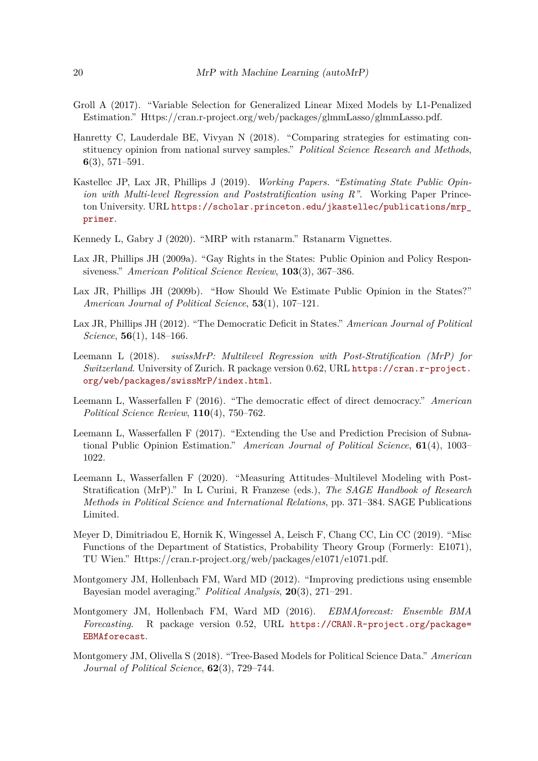- <span id="page-19-13"></span>Groll A (2017). "Variable Selection for Generalized Linear Mixed Models by L1-Penalized Estimation." Https://cran.r-project.org/web/packages/glmmLasso/glmmLasso.pdf.
- <span id="page-19-3"></span>Hanretty C, Lauderdale BE, Vivyan N (2018). "Comparing strategies for estimating constituency opinion from national survey samples." *Political Science Research and Methods*, **6**(3), 571–591.
- <span id="page-19-9"></span>Kastellec JP, Lax JR, Phillips J (2019). *Working Papers. "Estimating State Public Opinion with Multi-level Regression and Poststratification using R"*. Working Paper Princeton University. URL [https://scholar.princeton.edu/jkastellec/publications/mrp\\_](https://scholar.princeton.edu/jkastellec/publications/mrp_primer) [primer](https://scholar.princeton.edu/jkastellec/publications/mrp_primer).
- <span id="page-19-10"></span>Kennedy L, Gabry J (2020). "MRP with rstanarm." Rstanarm Vignettes.
- <span id="page-19-0"></span>Lax JR, Phillips JH (2009a). "Gay Rights in the States: Public Opinion and Policy Responsiveness." *American Political Science Review*, **103**(3), 367–386.
- <span id="page-19-1"></span>Lax JR, Phillips JH (2009b). "How Should We Estimate Public Opinion in the States?" *American Journal of Political Science*, **53**(1), 107–121.
- <span id="page-19-5"></span>Lax JR, Phillips JH (2012). "The Democratic Deficit in States." *American Journal of Political Science*, **56**(1), 148–166.
- <span id="page-19-11"></span>Leemann L (2018). *swissMrP: Multilevel Regression with Post-Stratification (MrP) for Switzerland*. University of Zurich. R package version 0.62, URL [https://cran.r-project.](https://cran.r-project.org/web/packages/swissMrP/index.html) [org/web/packages/swissMrP/index.html](https://cran.r-project.org/web/packages/swissMrP/index.html).
- <span id="page-19-6"></span>Leemann L, Wasserfallen F (2016). "The democratic effect of direct democracy." *American Political Science Review*, **110**(4), 750–762.
- <span id="page-19-2"></span>Leemann L, Wasserfallen F (2017). "Extending the Use and Prediction Precision of Subnational Public Opinion Estimation." *American Journal of Political Science*, **61**(4), 1003– 1022.
- <span id="page-19-4"></span>Leemann L, Wasserfallen F (2020). "Measuring Attitudes–Multilevel Modeling with Post-Stratification (MrP)." In L Curini, R Franzese (eds.), *The SAGE Handbook of Research Methods in Political Science and International Relations*, pp. 371–384. SAGE Publications Limited.
- <span id="page-19-14"></span>Meyer D, Dimitriadou E, Hornik K, Wingessel A, Leisch F, Chang CC, Lin CC (2019). "Misc Functions of the Department of Statistics, Probability Theory Group (Formerly: E1071), TU Wien." Https://cran.r-project.org/web/packages/e1071/e1071.pdf.
- <span id="page-19-8"></span>Montgomery JM, Hollenbach FM, Ward MD (2012). "Improving predictions using ensemble Bayesian model averaging." *Political Analysis*, **20**(3), 271–291.
- <span id="page-19-12"></span>Montgomery JM, Hollenbach FM, Ward MD (2016). *EBMAforecast: Ensemble BMA Forecasting*. R package version 0.52, URL [https://CRAN.R-project.org/package=](https://CRAN.R-project.org/package=EBMAforecast) [EBMAforecast](https://CRAN.R-project.org/package=EBMAforecast).
- <span id="page-19-7"></span>Montgomery JM, Olivella S (2018). "Tree-Based Models for Political Science Data." *American Journal of Political Science*, **62**(3), 729–744.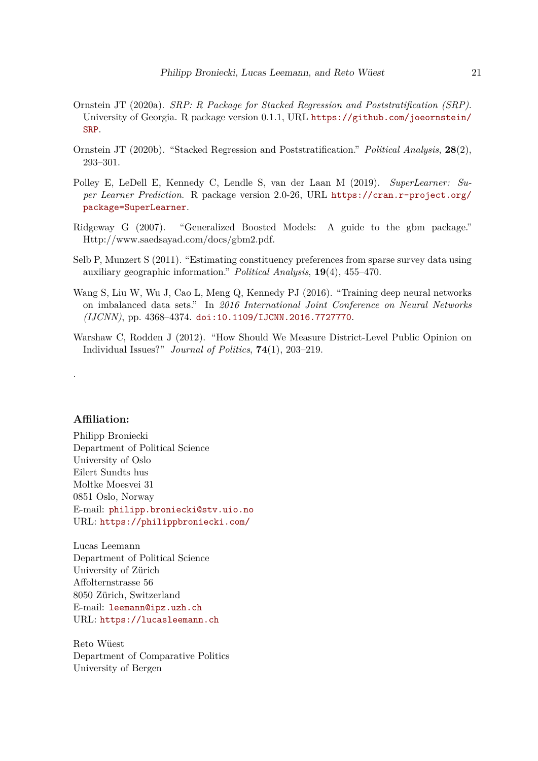- <span id="page-20-6"></span>Ornstein JT (2020a). *SRP: R Package for Stacked Regression and Poststratification (SRP)*. University of Georgia. R package version 0.1.1, URL [https://github.com/joeornstein/](https://github.com/joeornstein/SRP) [SRP](https://github.com/joeornstein/SRP).
- <span id="page-20-2"></span>Ornstein JT (2020b). "Stacked Regression and Poststratification." *Political Analysis*, **28**(2), 293–301.
- <span id="page-20-3"></span>Polley E, LeDell E, Kennedy C, Lendle S, van der Laan M (2019). *SuperLearner: Super Learner Prediction*. R package version 2.0-26, URL [https://cran.r-project.org/](https://cran.r-project.org/package=SuperLearner) [package=SuperLearner](https://cran.r-project.org/package=SuperLearner).
- <span id="page-20-4"></span>Ridgeway G (2007). "Generalized Boosted Models: A guide to the gbm package." Http://www.saedsayad.com/docs/gbm2.pdf.
- <span id="page-20-0"></span>Selb P, Munzert S (2011). "Estimating constituency preferences from sparse survey data using auxiliary geographic information." *Political Analysis*, **19**(4), 455–470.
- <span id="page-20-5"></span>Wang S, Liu W, Wu J, Cao L, Meng Q, Kennedy PJ (2016). "Training deep neural networks on imbalanced data sets." In *2016 International Joint Conference on Neural Networks (IJCNN)*, pp. 4368–4374. [doi:10.1109/IJCNN.2016.7727770](http://dx.doi.org/10.1109/IJCNN.2016.7727770).
- <span id="page-20-1"></span>Warshaw C, Rodden J (2012). "How Should We Measure District-Level Public Opinion on Individual Issues?" *Journal of Politics*, **74**(1), 203–219.

## **Affiliation:**

.

Philipp Broniecki Department of Political Science University of Oslo Eilert Sundts hus Moltke Moesvei 31 0851 Oslo, Norway E-mail: [philipp.broniecki@stv.uio.no](mailto:philipp.broniecki@stv.uio.no) URL: <https://philippbroniecki.com/>

Lucas Leemann Department of Political Science University of Zürich Affolternstrasse 56 8050 Zürich, Switzerland E-mail: [leemann@ipz.uzh.ch](mailto:leemann@ipz.uzh.ch) URL: <https://lucasleemann.ch>

Reto Wüest Department of Comparative Politics University of Bergen